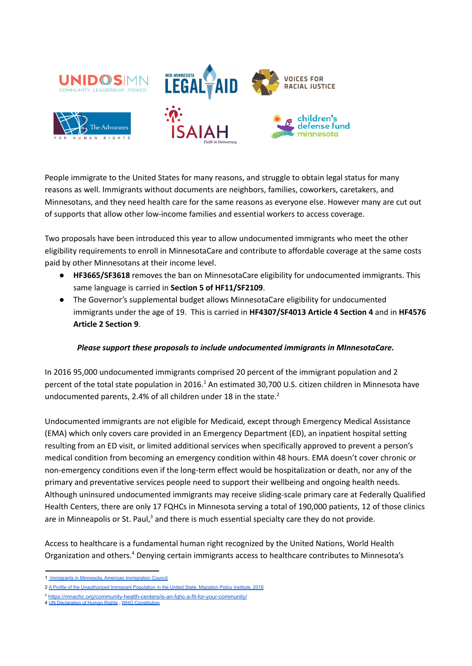

People immigrate to the United States for many reasons, and struggle to obtain legal status for many reasons as well. Immigrants without documents are neighbors, families, coworkers, caretakers, and Minnesotans, and they need health care for the same reasons as everyone else. However many are cut out of supports that allow other low-income families and essential workers to access coverage.

Two proposals have been introduced this year to allow undocumented immigrants who meet the other eligibility requirements to enroll in MinnesotaCare and contribute to affordable coverage at the same costs paid by other Minnesotans at their income level.

- **HF3665/SF3618** removes the ban on MinnesotaCare eligibility for undocumented immigrants. This same language is carried in **Section 5 of HF11/SF2109**.
- The Governor's supplemental budget allows MinnesotaCare eligibility for undocumented immigrants under the age of 19. This is carried in **HF4307/SF4013 Article 4 Section 4** and in **HF4576 Article 2 Section 9**.

## *Please support these proposals to include undocumented immigrants in MInnesotaCare.*

In 2016 95,000 undocumented immigrants comprised 20 percent of the immigrant population and 2 percent of the total state population in 2016.<sup>1</sup> An estimated 30,700 U.S. citizen children in Minnesota have undocumented parents, 2.4% of all children under 18 in the state.<sup>2</sup>

Undocumented immigrants are not eligible for Medicaid, except through Emergency Medical Assistance (EMA) which only covers care provided in an Emergency Department (ED), an inpatient hospital setting resulting from an ED visit, or limited additional services when specifically approved to prevent a person's medical condition from becoming an emergency condition within 48 hours. EMA doesn't cover chronic or non-emergency conditions even if the long-term effect would be hospitalization or death, nor any of the primary and preventative services people need to support their wellbeing and ongoing health needs. Although uninsured undocumented immigrants may receive sliding-scale primary care at Federally Qualified Health Centers, there are only 17 FQHCs in Minnesota serving a total of 190,000 patients, 12 of those clinics are in Minneapolis or St. Paul,<sup>3</sup> and there is much essential specialty care they do not provide.

Access to healthcare is a fundamental human right recognized by the United Nations, World Health Organization and others.<sup>4</sup> Denying certain immigrants access to healthcare contributes to Minnesota's

<sup>1</sup> [Immigrants in Minnesota, American Immigration Council](https://www.americanimmigrationcouncil.org/sites/default/files/research/immigrants_in_minnesota.pdf)

<sup>2</sup> [A Profile of the Unauthorized Immigrant Population](https://www.migrationpolicy.org/sites/default/files/publications/UnauthorizedData-FactSheet_FinalWeb.pdf) in the United State, Migration Policy Institute, 2018

<sup>3</sup> <https://mnachc.org/community-health-centers/is-an-fqhc-a-fit-for-your-community/>

<sup>4</sup> [UN Declaration of Human Rights](https://www.un.org/en/about-us/universal-declaration-of-human-rights) , [WHO Constitution](http://who.int/about/governance/constitution#:~:text=The%20Constitution%20was%20adopted%20by,are%20incorporated%20into%20this%20text.)